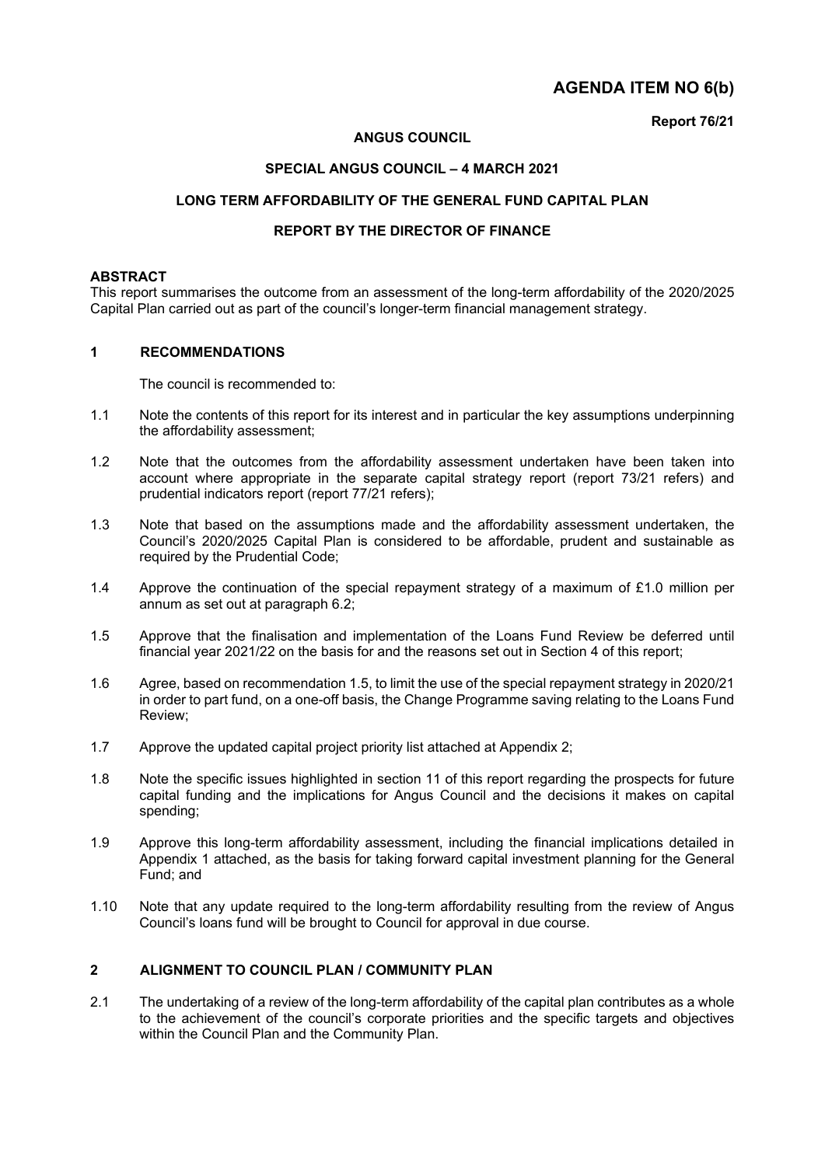# **AGENDA ITEM NO 6(b)**

#### **ANGUS COUNCIL**

#### **Report 76/21**

#### **SPECIAL ANGUS COUNCIL – 4 MARCH 2021**

### **LONG TERM AFFORDABILITY OF THE GENERAL FUND CAPITAL PLAN**

### **REPORT BY THE DIRECTOR OF FINANCE**

#### **ABSTRACT**

This report summarises the outcome from an assessment of the long-term affordability of the 2020/2025 Capital Plan carried out as part of the council's longer-term financial management strategy.

#### **1 RECOMMENDATIONS**

The council is recommended to:

- 1.1 Note the contents of this report for its interest and in particular the key assumptions underpinning the affordability assessment;
- 1.2 Note that the outcomes from the affordability assessment undertaken have been taken into account where appropriate in the separate capital strategy report (report 73/21 refers) and prudential indicators report (report 77/21 refers);
- 1.3 Note that based on the assumptions made and the affordability assessment undertaken, the Council's 2020/2025 Capital Plan is considered to be affordable, prudent and sustainable as required by the Prudential Code;
- 1.4 Approve the continuation of the special repayment strategy of a maximum of £1.0 million per annum as set out at paragraph 6.2;
- 1.5 Approve that the finalisation and implementation of the Loans Fund Review be deferred until financial year 2021/22 on the basis for and the reasons set out in Section 4 of this report;
- 1.6 Agree, based on recommendation 1.5, to limit the use of the special repayment strategy in 2020/21 in order to part fund, on a one-off basis, the Change Programme saving relating to the Loans Fund Review;
- 1.7 Approve the updated capital project priority list attached at Appendix 2;
- 1.8 Note the specific issues highlighted in section 11 of this report regarding the prospects for future capital funding and the implications for Angus Council and the decisions it makes on capital spending;
- 1.9 Approve this long-term affordability assessment, including the financial implications detailed in Appendix 1 attached, as the basis for taking forward capital investment planning for the General Fund; and
- 1.10 Note that any update required to the long-term affordability resulting from the review of Angus Council's loans fund will be brought to Council for approval in due course.

# **2 ALIGNMENT TO COUNCIL PLAN / COMMUNITY PLAN**

2.1 The undertaking of a review of the long-term affordability of the capital plan contributes as a whole to the achievement of the council's corporate priorities and the specific targets and objectives within the Council Plan and the Community Plan.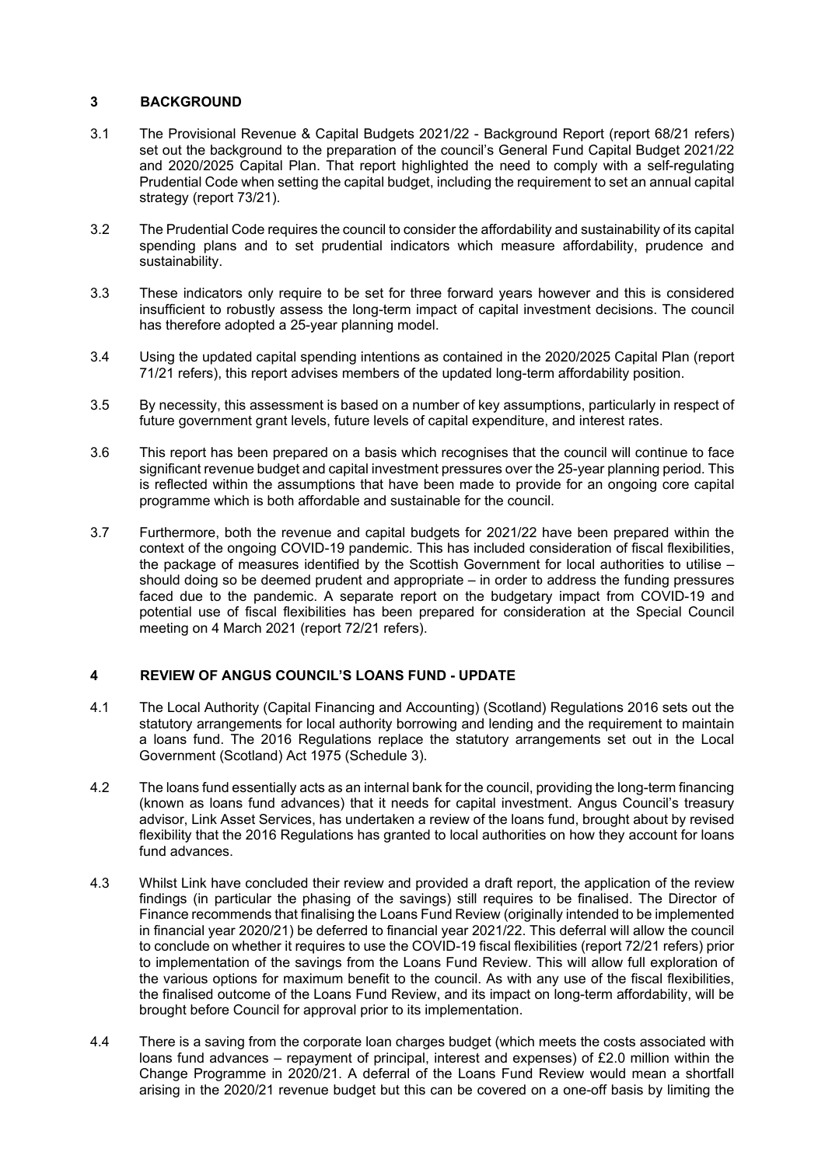# **3 BACKGROUND**

- 3.1 The Provisional Revenue & Capital Budgets 2021/22 Background Report (report 68/21 refers) set out the background to the preparation of the council's General Fund Capital Budget 2021/22 and 2020/2025 Capital Plan. That report highlighted the need to comply with a self-regulating Prudential Code when setting the capital budget, including the requirement to set an annual capital strategy (report 73/21).
- 3.2 The Prudential Code requires the council to consider the affordability and sustainability of its capital spending plans and to set prudential indicators which measure affordability, prudence and sustainability.
- 3.3 These indicators only require to be set for three forward years however and this is considered insufficient to robustly assess the long-term impact of capital investment decisions. The council has therefore adopted a 25-year planning model.
- 3.4 Using the updated capital spending intentions as contained in the 2020/2025 Capital Plan (report 71/21 refers), this report advises members of the updated long-term affordability position.
- 3.5 By necessity, this assessment is based on a number of key assumptions, particularly in respect of future government grant levels, future levels of capital expenditure, and interest rates.
- 3.6 This report has been prepared on a basis which recognises that the council will continue to face significant revenue budget and capital investment pressures over the 25-year planning period. This is reflected within the assumptions that have been made to provide for an ongoing core capital programme which is both affordable and sustainable for the council.
- 3.7 Furthermore, both the revenue and capital budgets for 2021/22 have been prepared within the context of the ongoing COVID-19 pandemic. This has included consideration of fiscal flexibilities, the package of measures identified by the Scottish Government for local authorities to utilise – should doing so be deemed prudent and appropriate – in order to address the funding pressures faced due to the pandemic. A separate report on the budgetary impact from COVID-19 and potential use of fiscal flexibilities has been prepared for consideration at the Special Council meeting on 4 March 2021 (report 72/21 refers).

## **4 REVIEW OF ANGUS COUNCIL'S LOANS FUND - UPDATE**

- 4.1 The Local Authority (Capital Financing and Accounting) (Scotland) Regulations 2016 sets out the statutory arrangements for local authority borrowing and lending and the requirement to maintain a loans fund. The 2016 Regulations replace the statutory arrangements set out in the Local Government (Scotland) Act 1975 (Schedule 3).
- 4.2 The loans fund essentially acts as an internal bank for the council, providing the long-term financing (known as loans fund advances) that it needs for capital investment. Angus Council's treasury advisor, Link Asset Services, has undertaken a review of the loans fund, brought about by revised flexibility that the 2016 Regulations has granted to local authorities on how they account for loans fund advances.
- 4.3 Whilst Link have concluded their review and provided a draft report, the application of the review findings (in particular the phasing of the savings) still requires to be finalised. The Director of Finance recommends that finalising the Loans Fund Review (originally intended to be implemented in financial year 2020/21) be deferred to financial year 2021/22. This deferral will allow the council to conclude on whether it requires to use the COVID-19 fiscal flexibilities (report 72/21 refers) prior to implementation of the savings from the Loans Fund Review. This will allow full exploration of the various options for maximum benefit to the council. As with any use of the fiscal flexibilities, the finalised outcome of the Loans Fund Review, and its impact on long-term affordability, will be brought before Council for approval prior to its implementation.
- 4.4 There is a saving from the corporate loan charges budget (which meets the costs associated with loans fund advances – repayment of principal, interest and expenses) of £2.0 million within the Change Programme in 2020/21. A deferral of the Loans Fund Review would mean a shortfall arising in the 2020/21 revenue budget but this can be covered on a one-off basis by limiting the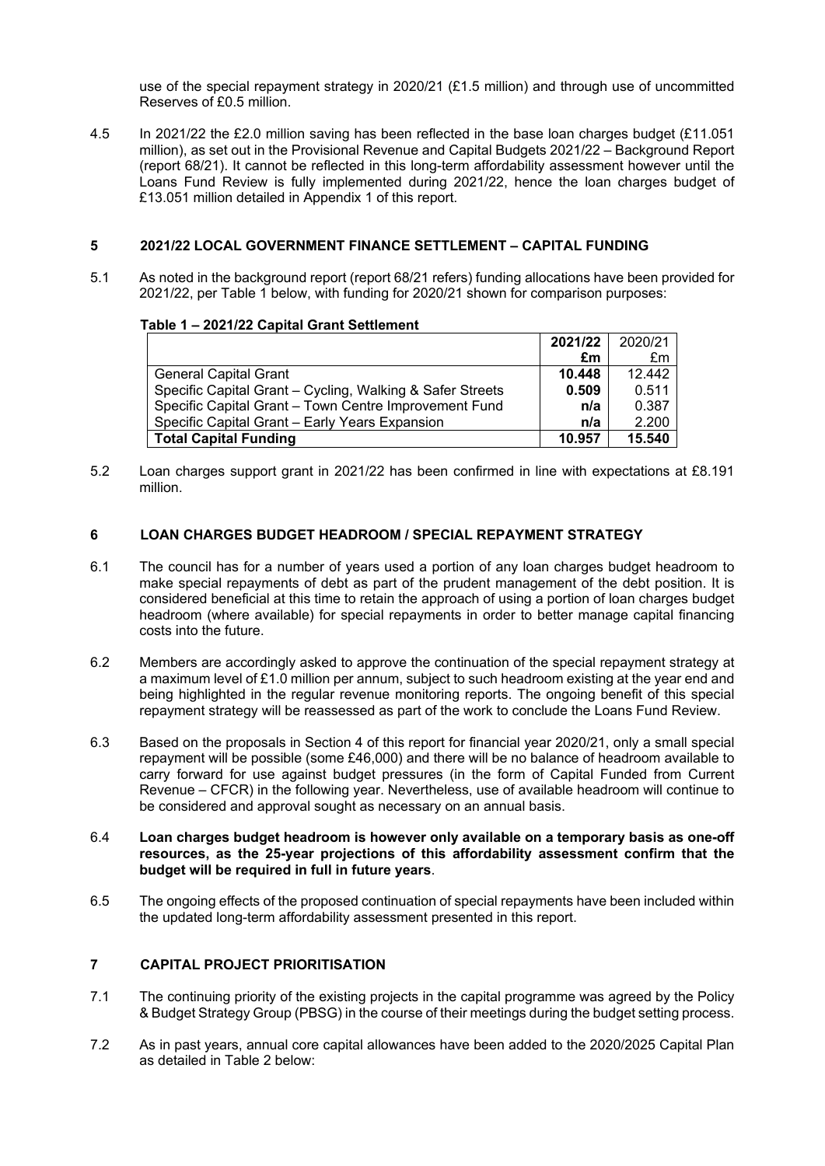use of the special repayment strategy in 2020/21 (£1.5 million) and through use of uncommitted Reserves of £0.5 million.

4.5 In 2021/22 the £2.0 million saving has been reflected in the base loan charges budget (£11.051 million), as set out in the Provisional Revenue and Capital Budgets 2021/22 – Background Report (report 68/21). It cannot be reflected in this long-term affordability assessment however until the Loans Fund Review is fully implemented during 2021/22, hence the loan charges budget of £13.051 million detailed in Appendix 1 of this report.

# **5 2021/22 LOCAL GOVERNMENT FINANCE SETTLEMENT – CAPITAL FUNDING**

5.1 As noted in the background report (report 68/21 refers) funding allocations have been provided for 2021/22, per Table 1 below, with funding for 2020/21 shown for comparison purposes:

## **Table 1 - 2021/22 Capital Grant Settlement**

|                                                           | 2021/22 | 2020/21 |
|-----------------------------------------------------------|---------|---------|
|                                                           | £m      | £m      |
| <b>General Capital Grant</b>                              | 10.448  | 12.442  |
| Specific Capital Grant - Cycling, Walking & Safer Streets | 0.509   | 0.511   |
| Specific Capital Grant - Town Centre Improvement Fund     | n/a     | 0.387   |
| Specific Capital Grant - Early Years Expansion            | n/a     | 2.200   |
| <b>Total Capital Funding</b>                              | 10.957  | 15.540  |

5.2 Loan charges support grant in 2021/22 has been confirmed in line with expectations at £8.191 million.

# **6 LOAN CHARGES BUDGET HEADROOM / SPECIAL REPAYMENT STRATEGY**

- 6.1 The council has for a number of years used a portion of any loan charges budget headroom to make special repayments of debt as part of the prudent management of the debt position. It is considered beneficial at this time to retain the approach of using a portion of loan charges budget headroom (where available) for special repayments in order to better manage capital financing costs into the future.
- 6.2 Members are accordingly asked to approve the continuation of the special repayment strategy at a maximum level of £1.0 million per annum, subject to such headroom existing at the year end and being highlighted in the regular revenue monitoring reports. The ongoing benefit of this special repayment strategy will be reassessed as part of the work to conclude the Loans Fund Review.
- 6.3 Based on the proposals in Section 4 of this report for financial year 2020/21, only a small special repayment will be possible (some £46,000) and there will be no balance of headroom available to carry forward for use against budget pressures (in the form of Capital Funded from Current Revenue – CFCR) in the following year. Nevertheless, use of available headroom will continue to be considered and approval sought as necessary on an annual basis.
- 6.4 **Loan charges budget headroom is however only available on a temporary basis as one-off resources, as the 25-year projections of this affordability assessment confirm that the budget will be required in full in future years**.
- 6.5 The ongoing effects of the proposed continuation of special repayments have been included within the updated long-term affordability assessment presented in this report.

# **7 CAPITAL PROJECT PRIORITISATION**

- 7.1 The continuing priority of the existing projects in the capital programme was agreed by the Policy & Budget Strategy Group (PBSG) in the course of their meetings during the budget setting process.
- 7.2 As in past years, annual core capital allowances have been added to the 2020/2025 Capital Plan as detailed in Table 2 below: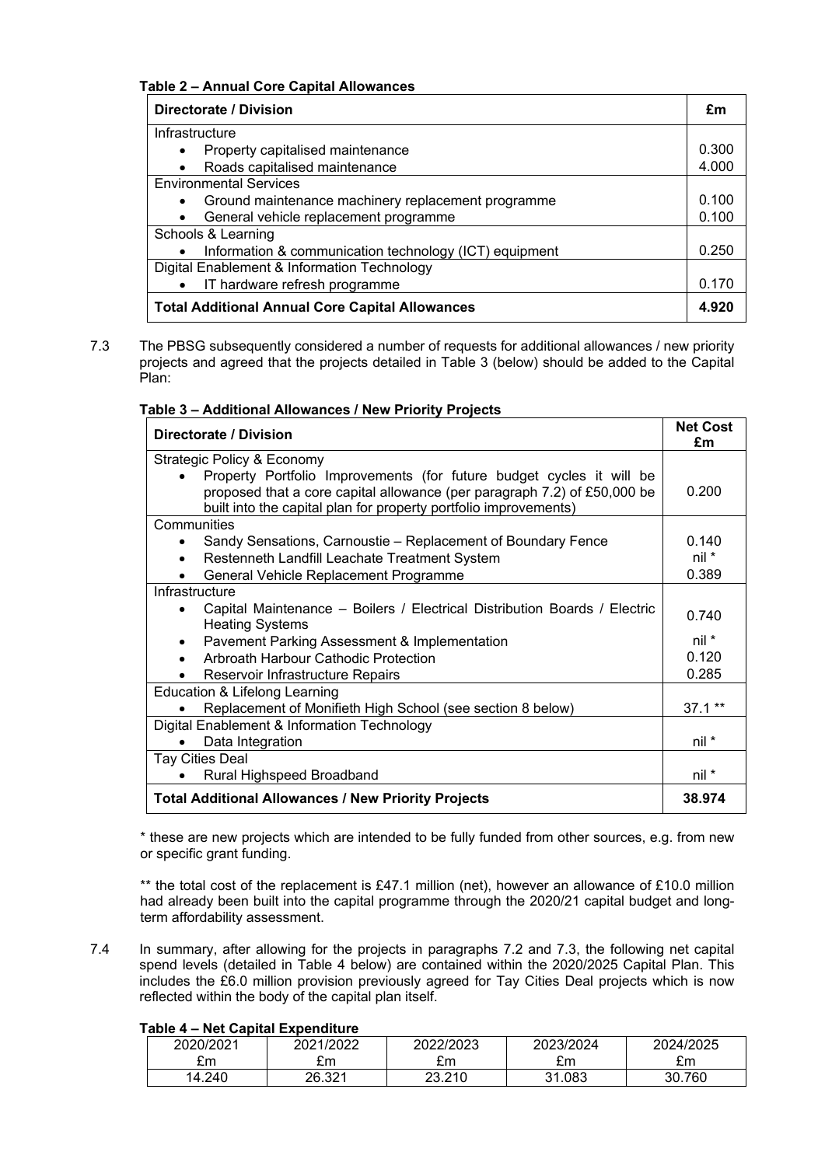**Table 2 – Annual Core Capital Allowances** 

| Directorate / Division |                                                        |       |
|------------------------|--------------------------------------------------------|-------|
| Infrastructure         |                                                        |       |
| $\bullet$              | Property capitalised maintenance                       | 0.300 |
| $\bullet$              | Roads capitalised maintenance                          | 4.000 |
|                        | <b>Environmental Services</b>                          |       |
| $\bullet$              | Ground maintenance machinery replacement programme     | 0.100 |
| $\bullet$              | General vehicle replacement programme                  | 0.100 |
|                        | Schools & Learning                                     |       |
| $\bullet$              | Information & communication technology (ICT) equipment | 0.250 |
|                        | Digital Enablement & Information Technology            |       |
| $\bullet$              | IT hardware refresh programme                          | 0.170 |
|                        | <b>Total Additional Annual Core Capital Allowances</b> | 4.920 |

7.3 The PBSG subsequently considered a number of requests for additional allowances / new priority projects and agreed that the projects detailed in Table 3 (below) should be added to the Capital Plan:

# Table 3 - Additional Allowances / New Priority Projects

| Directorate / Division                                                                                                                                                                                                            |          |  |  |
|-----------------------------------------------------------------------------------------------------------------------------------------------------------------------------------------------------------------------------------|----------|--|--|
| Strategic Policy & Economy                                                                                                                                                                                                        |          |  |  |
| Property Portfolio Improvements (for future budget cycles it will be<br>$\bullet$<br>proposed that a core capital allowance (per paragraph 7.2) of £50,000 be<br>built into the capital plan for property portfolio improvements) | 0.200    |  |  |
| Communities                                                                                                                                                                                                                       |          |  |  |
| Sandy Sensations, Carnoustie - Replacement of Boundary Fence<br>$\bullet$                                                                                                                                                         | 0.140    |  |  |
| Restenneth Landfill Leachate Treatment System<br>$\bullet$                                                                                                                                                                        | nil *    |  |  |
| General Vehicle Replacement Programme<br>$\bullet$                                                                                                                                                                                | 0.389    |  |  |
| Infrastructure                                                                                                                                                                                                                    |          |  |  |
| Capital Maintenance - Boilers / Electrical Distribution Boards / Electric<br>$\bullet$<br><b>Heating Systems</b>                                                                                                                  | 0.740    |  |  |
| Pavement Parking Assessment & Implementation<br>$\bullet$                                                                                                                                                                         | nil *    |  |  |
| Arbroath Harbour Cathodic Protection<br>$\bullet$                                                                                                                                                                                 | 0.120    |  |  |
| Reservoir Infrastructure Repairs<br>$\bullet$                                                                                                                                                                                     | 0.285    |  |  |
| Education & Lifelong Learning                                                                                                                                                                                                     |          |  |  |
| Replacement of Monifieth High School (see section 8 below)                                                                                                                                                                        | $37.1**$ |  |  |
| Digital Enablement & Information Technology                                                                                                                                                                                       |          |  |  |
| Data Integration                                                                                                                                                                                                                  | nil *    |  |  |
| <b>Tay Cities Deal</b>                                                                                                                                                                                                            |          |  |  |
| Rural Highspeed Broadband                                                                                                                                                                                                         | nil *    |  |  |
| <b>Total Additional Allowances / New Priority Projects</b>                                                                                                                                                                        | 38.974   |  |  |

\* these are new projects which are intended to be fully funded from other sources, e.g. from new or specific grant funding.

\*\* the total cost of the replacement is £47.1 million (net), however an allowance of £10.0 million had already been built into the capital programme through the 2020/21 capital budget and longterm affordability assessment.

7.4 In summary, after allowing for the projects in paragraphs 7.2 and 7.3, the following net capital spend levels (detailed in Table 4 below) are contained within the 2020/2025 Capital Plan. This includes the £6.0 million provision previously agreed for Tay Cities Deal projects which is now reflected within the body of the capital plan itself.

# **Table 4 – Net Capital Expenditure** (6 columns, 2 rows)

| .         |           |           |            |           |
|-----------|-----------|-----------|------------|-----------|
| 2020/2021 | 2021/2022 | 2022/2023 | 2023/2024  | 2024/2025 |
| £m        | £m        | £m        | £m         | £m        |
| 14.240    | 26.321    | 23.210    | .083<br>21 | 30.760    |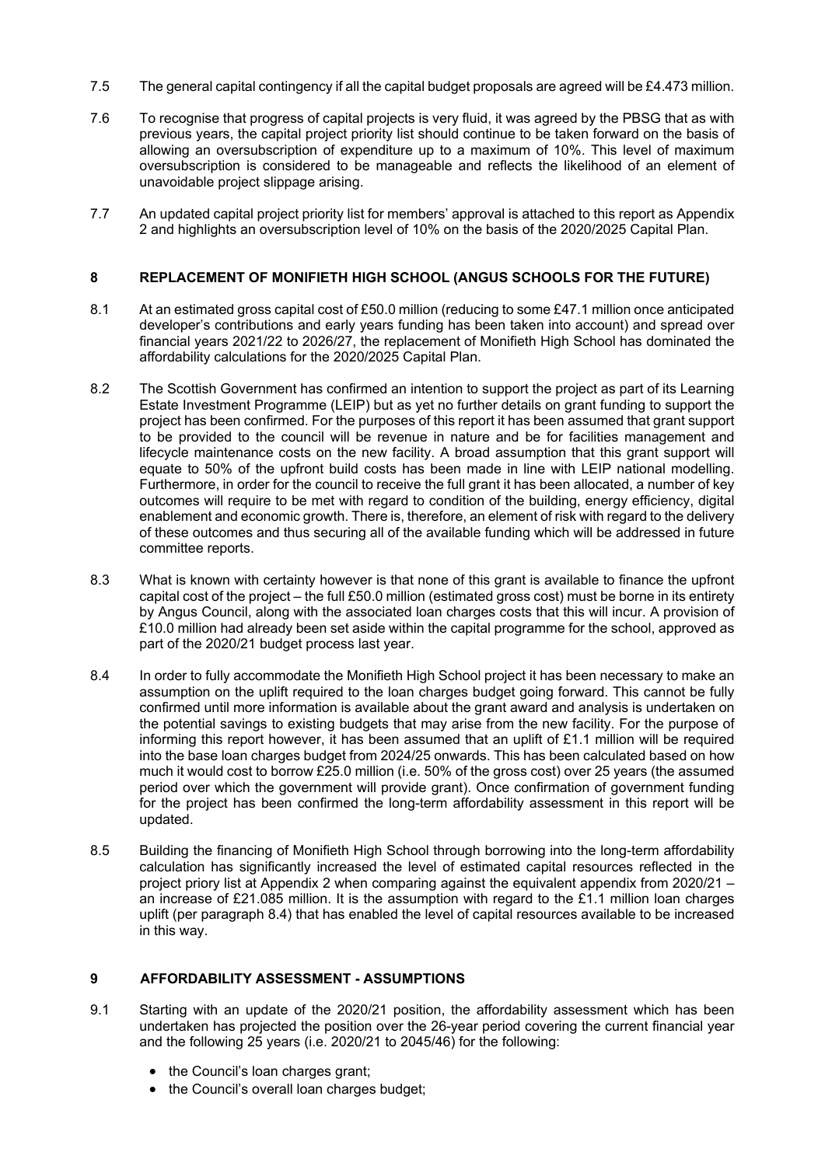- 7.5 The general capital contingency if all the capital budget proposals are agreed will be £4.473 million.
- 7.6 To recognise that progress of capital projects is very fluid, it was agreed by the PBSG that as with previous years, the capital project priority list should continue to be taken forward on the basis of allowing an oversubscription of expenditure up to a maximum of 10%. This level of maximum oversubscription is considered to be manageable and reflects the likelihood of an element of unavoidable project slippage arising.
- 7.7 An updated capital project priority list for members' approval is attached to this report as Appendix 2 and highlights an oversubscription level of 10% on the basis of the 2020/2025 Capital Plan.

### **8 REPLACEMENT OF MONIFIETH HIGH SCHOOL (ANGUS SCHOOLS FOR THE FUTURE)**

- 8.1 At an estimated gross capital cost of £50.0 million (reducing to some £47.1 million once anticipated developer's contributions and early years funding has been taken into account) and spread over financial years 2021/22 to 2026/27, the replacement of Monifieth High School has dominated the affordability calculations for the 2020/2025 Capital Plan.
- 8.2 The Scottish Government has confirmed an intention to support the project as part of its Learning Estate Investment Programme (LEIP) but as yet no further details on grant funding to support the project has been confirmed. For the purposes of this report it has been assumed that grant support to be provided to the council will be revenue in nature and be for facilities management and lifecycle maintenance costs on the new facility. A broad assumption that this grant support will equate to 50% of the upfront build costs has been made in line with LEIP national modelling. Furthermore, in order for the council to receive the full grant it has been allocated, a number of key outcomes will require to be met with regard to condition of the building, energy efficiency, digital enablement and economic growth. There is, therefore, an element of risk with regard to the delivery of these outcomes and thus securing all of the available funding which will be addressed in future committee reports.
- 8.3 What is known with certainty however is that none of this grant is available to finance the upfront capital cost of the project – the full £50.0 million (estimated gross cost) must be borne in its entirety by Angus Council, along with the associated loan charges costs that this will incur. A provision of £10.0 million had already been set aside within the capital programme for the school, approved as part of the 2020/21 budget process last year.
- 8.4 In order to fully accommodate the Monifieth High School project it has been necessary to make an assumption on the uplift required to the loan charges budget going forward. This cannot be fully confirmed until more information is available about the grant award and analysis is undertaken on the potential savings to existing budgets that may arise from the new facility. For the purpose of informing this report however, it has been assumed that an uplift of £1.1 million will be required into the base loan charges budget from 2024/25 onwards. This has been calculated based on how much it would cost to borrow £25.0 million (i.e. 50% of the gross cost) over 25 years (the assumed period over which the government will provide grant). Once confirmation of government funding for the project has been confirmed the long-term affordability assessment in this report will be updated.
- 8.5 Building the financing of Monifieth High School through borrowing into the long-term affordability calculation has significantly increased the level of estimated capital resources reflected in the project priory list at Appendix 2 when comparing against the equivalent appendix from 2020/21 – an increase of £21.085 million. It is the assumption with regard to the £1.1 million loan charges uplift (per paragraph 8.4) that has enabled the level of capital resources available to be increased in this way.

## **9 AFFORDABILITY ASSESSMENT - ASSUMPTIONS**

- 9.1 Starting with an update of the 2020/21 position, the affordability assessment which has been undertaken has projected the position over the 26-year period covering the current financial year and the following 25 years (i.e. 2020/21 to 2045/46) for the following:
	- the Council's loan charges grant:
	- the Council's overall loan charges budget;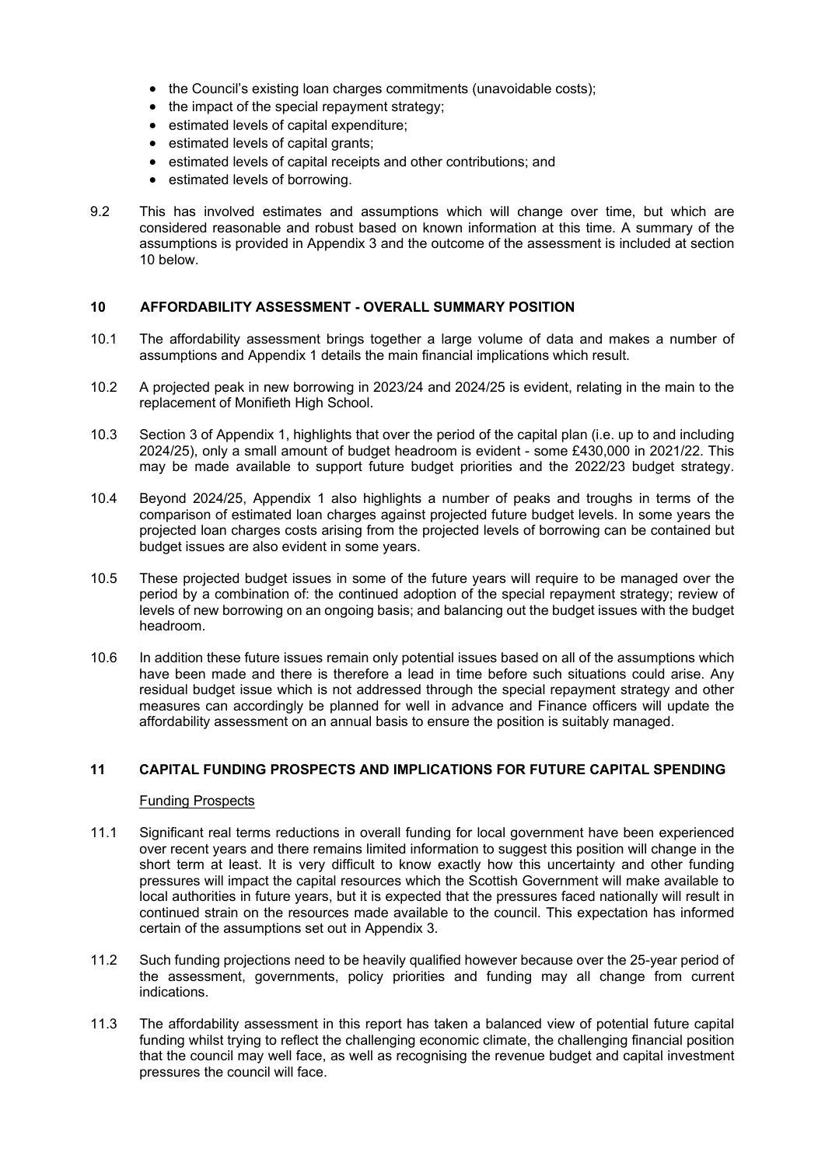- the Council's existing loan charges commitments (unavoidable costs);
- the impact of the special repayment strategy;
- estimated levels of capital expenditure;
- estimated levels of capital grants;
- estimated levels of capital receipts and other contributions; and
- estimated levels of borrowing.
- 9.2 This has involved estimates and assumptions which will change over time, but which are considered reasonable and robust based on known information at this time. A summary of the assumptions is provided in Appendix 3 and the outcome of the assessment is included at section 10 below.

### **10 AFFORDABILITY ASSESSMENT - OVERALL SUMMARY POSITION**

- 10.1 The affordability assessment brings together a large volume of data and makes a number of assumptions and Appendix 1 details the main financial implications which result.
- 10.2 A projected peak in new borrowing in 2023/24 and 2024/25 is evident, relating in the main to the replacement of Monifieth High School.
- 10.3 Section 3 of Appendix 1, highlights that over the period of the capital plan (i.e. up to and including 2024/25), only a small amount of budget headroom is evident - some £430,000 in 2021/22. This may be made available to support future budget priorities and the 2022/23 budget strategy.
- 10.4 Beyond 2024/25, Appendix 1 also highlights a number of peaks and troughs in terms of the comparison of estimated loan charges against projected future budget levels. In some years the projected loan charges costs arising from the projected levels of borrowing can be contained but budget issues are also evident in some years.
- 10.5 These projected budget issues in some of the future years will require to be managed over the period by a combination of: the continued adoption of the special repayment strategy; review of levels of new borrowing on an ongoing basis; and balancing out the budget issues with the budget headroom.
- 10.6 In addition these future issues remain only potential issues based on all of the assumptions which have been made and there is therefore a lead in time before such situations could arise. Any residual budget issue which is not addressed through the special repayment strategy and other measures can accordingly be planned for well in advance and Finance officers will update the affordability assessment on an annual basis to ensure the position is suitably managed.

### **11 CAPITAL FUNDING PROSPECTS AND IMPLICATIONS FOR FUTURE CAPITAL SPENDING**

#### Funding Prospects

- 11.1 Significant real terms reductions in overall funding for local government have been experienced over recent years and there remains limited information to suggest this position will change in the short term at least. It is very difficult to know exactly how this uncertainty and other funding pressures will impact the capital resources which the Scottish Government will make available to local authorities in future years, but it is expected that the pressures faced nationally will result in continued strain on the resources made available to the council. This expectation has informed certain of the assumptions set out in Appendix 3.
- 11.2 Such funding projections need to be heavily qualified however because over the 25-year period of the assessment, governments, policy priorities and funding may all change from current indications.
- 11.3 The affordability assessment in this report has taken a balanced view of potential future capital funding whilst trying to reflect the challenging economic climate, the challenging financial position that the council may well face, as well as recognising the revenue budget and capital investment pressures the council will face.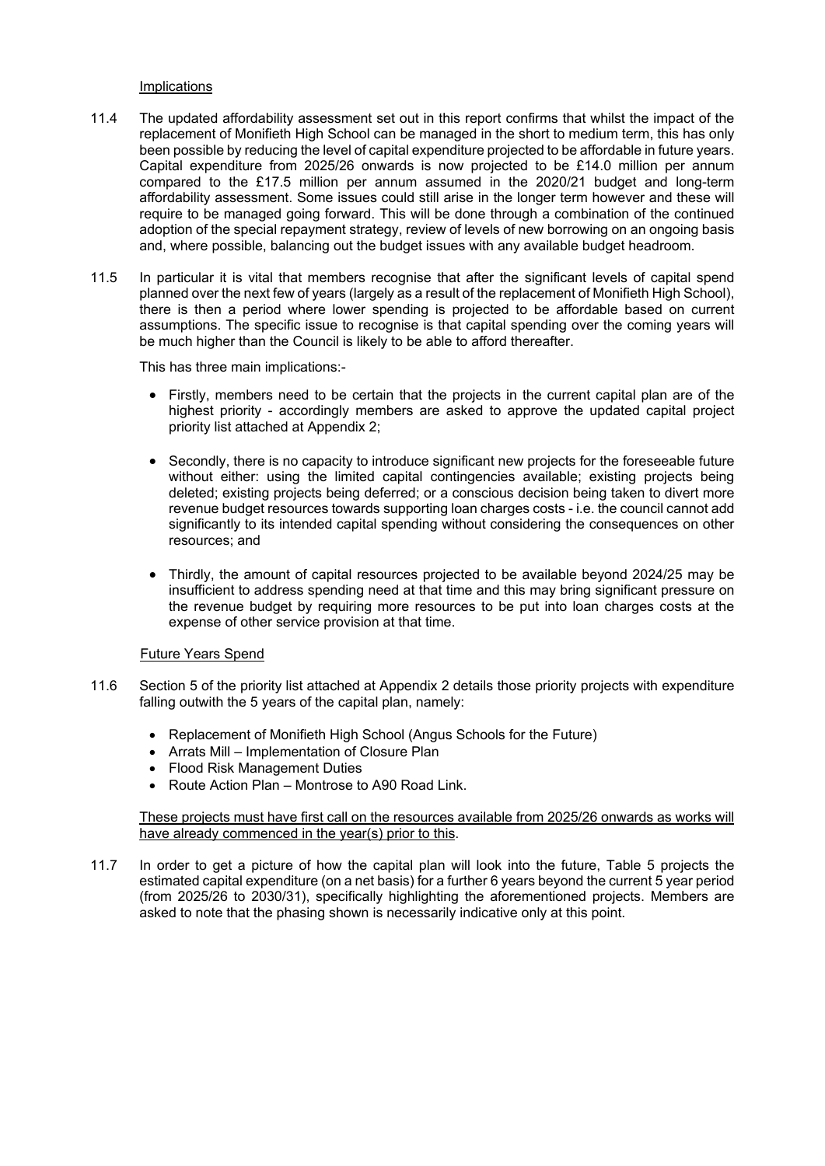#### Implications

- 11.4 The updated affordability assessment set out in this report confirms that whilst the impact of the replacement of Monifieth High School can be managed in the short to medium term, this has only been possible by reducing the level of capital expenditure projected to be affordable in future years. Capital expenditure from 2025/26 onwards is now projected to be £14.0 million per annum compared to the £17.5 million per annum assumed in the 2020/21 budget and long-term affordability assessment. Some issues could still arise in the longer term however and these will require to be managed going forward. This will be done through a combination of the continued adoption of the special repayment strategy, review of levels of new borrowing on an ongoing basis and, where possible, balancing out the budget issues with any available budget headroom.
- 11.5 In particular it is vital that members recognise that after the significant levels of capital spend planned over the next few of years (largely as a result of the replacement of Monifieth High School), there is then a period where lower spending is projected to be affordable based on current assumptions. The specific issue to recognise is that capital spending over the coming years will be much higher than the Council is likely to be able to afford thereafter.

This has three main implications:-

- Firstly, members need to be certain that the projects in the current capital plan are of the highest priority - accordingly members are asked to approve the updated capital project priority list attached at Appendix 2;
- Secondly, there is no capacity to introduce significant new projects for the foreseeable future without either: using the limited capital contingencies available; existing projects being deleted; existing projects being deferred; or a conscious decision being taken to divert more revenue budget resources towards supporting loan charges costs - i.e. the council cannot add significantly to its intended capital spending without considering the consequences on other resources; and
- Thirdly, the amount of capital resources projected to be available beyond 2024/25 may be insufficient to address spending need at that time and this may bring significant pressure on the revenue budget by requiring more resources to be put into loan charges costs at the expense of other service provision at that time.

## Future Years Spend

- 11.6 Section 5 of the priority list attached at Appendix 2 details those priority projects with expenditure falling outwith the 5 years of the capital plan, namely:
	- Replacement of Monifieth High School (Angus Schools for the Future)
	- Arrats Mill Implementation of Closure Plan
	- Flood Risk Management Duties
	- Route Action Plan Montrose to A90 Road Link.

These projects must have first call on the resources available from 2025/26 onwards as works will have already commenced in the year(s) prior to this.

11.7 In order to get a picture of how the capital plan will look into the future, Table 5 projects the estimated capital expenditure (on a net basis) for a further 6 years beyond the current 5 year period (from 2025/26 to 2030/31), specifically highlighting the aforementioned projects. Members are asked to note that the phasing shown is necessarily indicative only at this point.